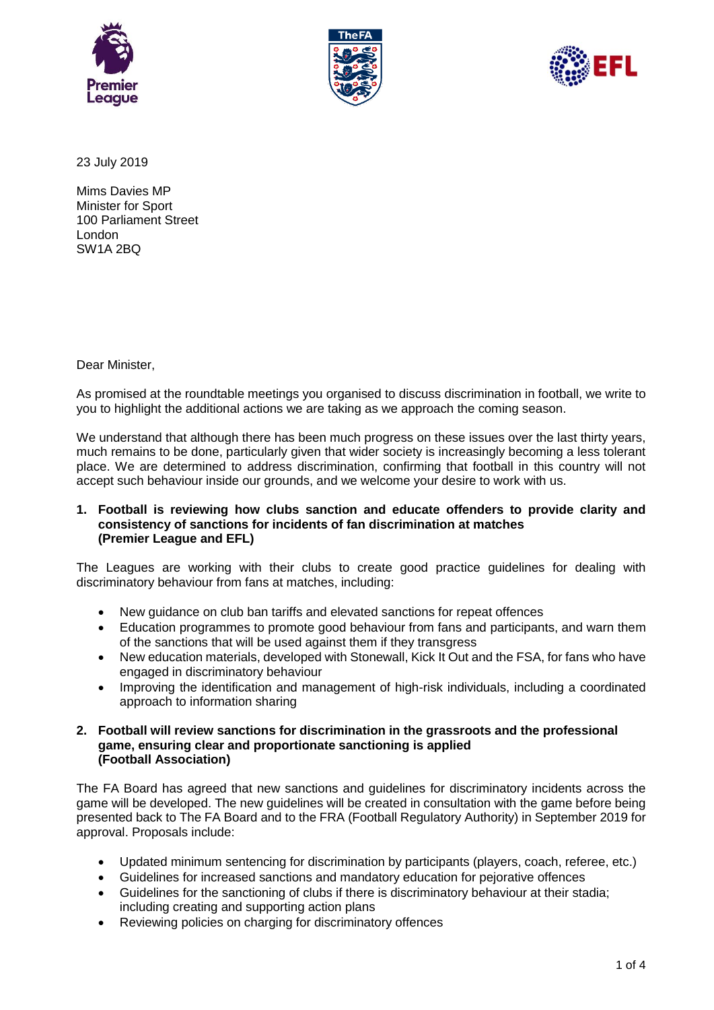





23 July 2019

Mims Davies MP Minister for Sport 100 Parliament Street London SW1A 2BQ

Dear Minister,

As promised at the roundtable meetings you organised to discuss discrimination in football, we write to you to highlight the additional actions we are taking as we approach the coming season.

We understand that although there has been much progress on these issues over the last thirty vears, much remains to be done, particularly given that wider society is increasingly becoming a less tolerant place. We are determined to address discrimination, confirming that football in this country will not accept such behaviour inside our grounds, and we welcome your desire to work with us.

#### **1. Football is reviewing how clubs sanction and educate offenders to provide clarity and consistency of sanctions for incidents of fan discrimination at matches (Premier League and EFL)**

The Leagues are working with their clubs to create good practice guidelines for dealing with discriminatory behaviour from fans at matches, including:

- New guidance on club ban tariffs and elevated sanctions for repeat offences
- Education programmes to promote good behaviour from fans and participants, and warn them of the sanctions that will be used against them if they transgress
- New education materials, developed with Stonewall, Kick It Out and the FSA, for fans who have engaged in discriminatory behaviour
- Improving the identification and management of high-risk individuals, including a coordinated approach to information sharing

### **2. Football will review sanctions for discrimination in the grassroots and the professional game, ensuring clear and proportionate sanctioning is applied (Football Association)**

The FA Board has agreed that new sanctions and guidelines for discriminatory incidents across the game will be developed. The new guidelines will be created in consultation with the game before being presented back to The FA Board and to the FRA (Football Regulatory Authority) in September 2019 for approval. Proposals include:

- Updated minimum sentencing for discrimination by participants (players, coach, referee, etc.)
- Guidelines for increased sanctions and mandatory education for pejorative offences
- Guidelines for the sanctioning of clubs if there is discriminatory behaviour at their stadia; including creating and supporting action plans
- Reviewing policies on charging for discriminatory offences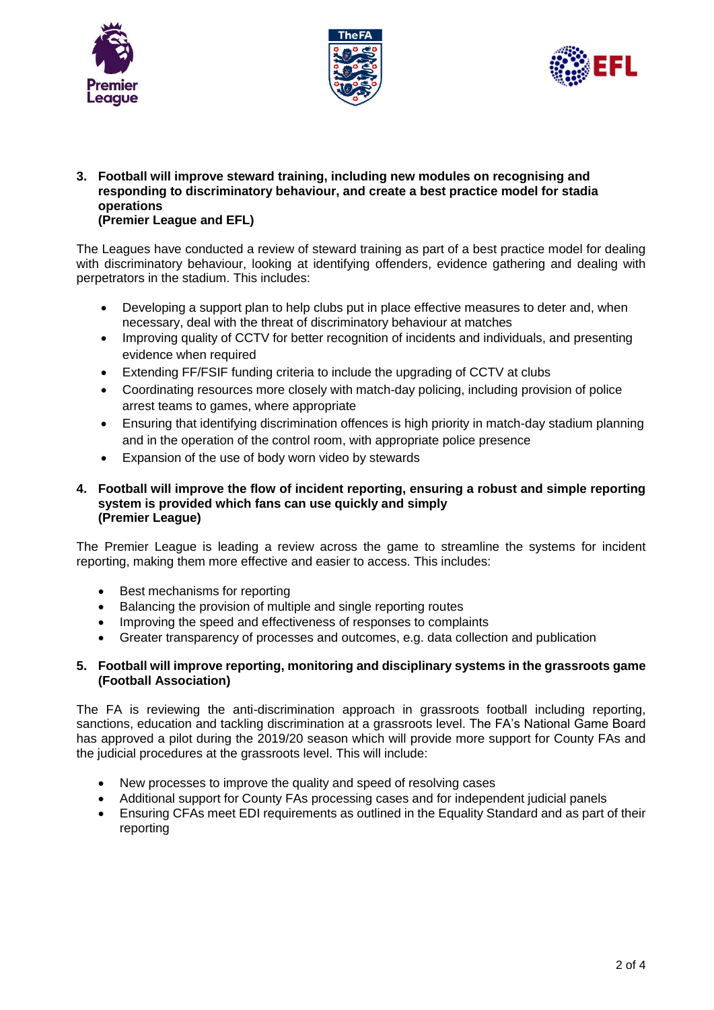





**3. Football will improve steward training, including new modules on recognising and responding to discriminatory behaviour, and create a best practice model for stadia operations (Premier League and EFL)**

The Leagues have conducted a review of steward training as part of a best practice model for dealing with discriminatory behaviour, looking at identifying offenders, evidence gathering and dealing with perpetrators in the stadium. This includes:

- Developing a support plan to help clubs put in place effective measures to deter and, when necessary, deal with the threat of discriminatory behaviour at matches
- Improving quality of CCTV for better recognition of incidents and individuals, and presenting evidence when required
- Extending FF/FSIF funding criteria to include the upgrading of CCTV at clubs
- Coordinating resources more closely with match-day policing, including provision of police arrest teams to games, where appropriate
- Ensuring that identifying discrimination offences is high priority in match-day stadium planning and in the operation of the control room, with appropriate police presence
- Expansion of the use of body worn video by stewards

### **4. Football will improve the flow of incident reporting, ensuring a robust and simple reporting system is provided which fans can use quickly and simply (Premier League)**

The Premier League is leading a review across the game to streamline the systems for incident reporting, making them more effective and easier to access. This includes:

- Best mechanisms for reporting
- Balancing the provision of multiple and single reporting routes
- Improving the speed and effectiveness of responses to complaints
- Greater transparency of processes and outcomes, e.g. data collection and publication

# **5. Football will improve reporting, monitoring and disciplinary systems in the grassroots game (Football Association)**

The FA is reviewing the anti-discrimination approach in grassroots football including reporting, sanctions, education and tackling discrimination at a grassroots level. The FA's National Game Board has approved a pilot during the 2019/20 season which will provide more support for County FAs and the judicial procedures at the grassroots level. This will include:

- New processes to improve the quality and speed of resolving cases
- Additional support for County FAs processing cases and for independent judicial panels
- Ensuring CFAs meet EDI requirements as outlined in the Equality Standard and as part of their reporting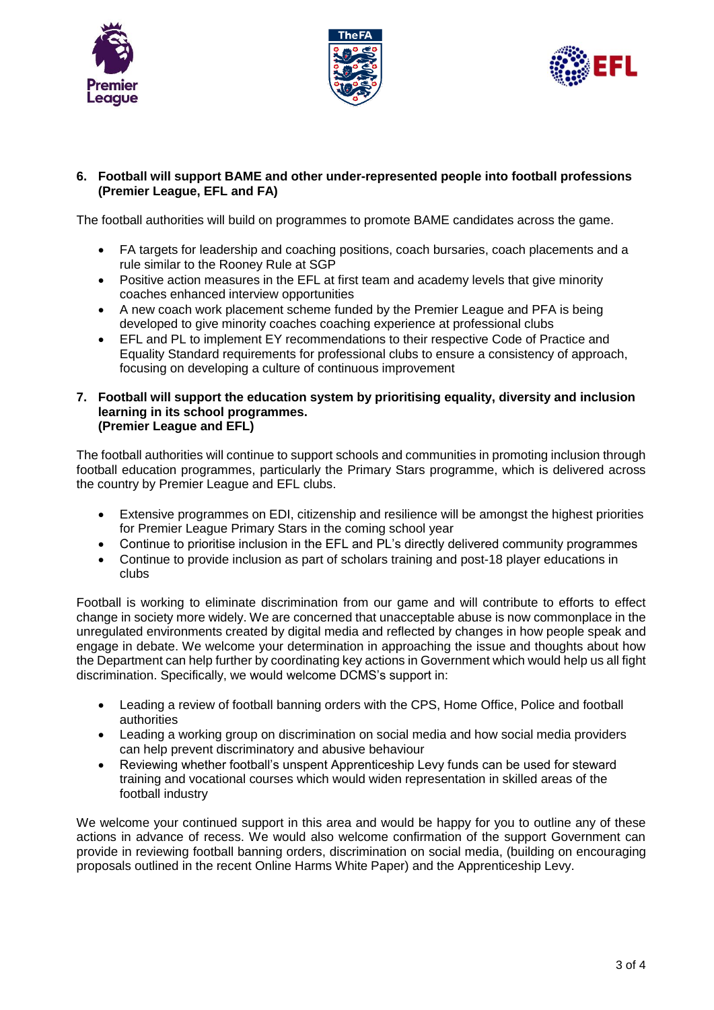





# **6. Football will support BAME and other under-represented people into football professions (Premier League, EFL and FA)**

The football authorities will build on programmes to promote BAME candidates across the game.

- FA targets for leadership and coaching positions, coach bursaries, coach placements and a rule similar to the Rooney Rule at SGP
- Positive action measures in the EFL at first team and academy levels that give minority coaches enhanced interview opportunities
- A new coach work placement scheme funded by the Premier League and PFA is being developed to give minority coaches coaching experience at professional clubs
- EFL and PL to implement EY recommendations to their respective Code of Practice and Equality Standard requirements for professional clubs to ensure a consistency of approach, focusing on developing a culture of continuous improvement
- **7. Football will support the education system by prioritising equality, diversity and inclusion learning in its school programmes. (Premier League and EFL)**

The football authorities will continue to support schools and communities in promoting inclusion through football education programmes, particularly the Primary Stars programme, which is delivered across the country by Premier League and EFL clubs.

- Extensive programmes on EDI, citizenship and resilience will be amongst the highest priorities for Premier League Primary Stars in the coming school year
- Continue to prioritise inclusion in the EFL and PL's directly delivered community programmes
- Continue to provide inclusion as part of scholars training and post-18 player educations in clubs

Football is working to eliminate discrimination from our game and will contribute to efforts to effect change in society more widely. We are concerned that unacceptable abuse is now commonplace in the unregulated environments created by digital media and reflected by changes in how people speak and engage in debate. We welcome your determination in approaching the issue and thoughts about how the Department can help further by coordinating key actions in Government which would help us all fight discrimination. Specifically, we would welcome DCMS's support in:

- Leading a review of football banning orders with the CPS, Home Office, Police and football authorities
- Leading a working group on discrimination on social media and how social media providers can help prevent discriminatory and abusive behaviour
- Reviewing whether football's unspent Apprenticeship Levy funds can be used for steward training and vocational courses which would widen representation in skilled areas of the football industry

We welcome your continued support in this area and would be happy for you to outline any of these actions in advance of recess. We would also welcome confirmation of the support Government can provide in reviewing football banning orders, discrimination on social media, (building on encouraging proposals outlined in the recent Online Harms White Paper) and the Apprenticeship Levy.